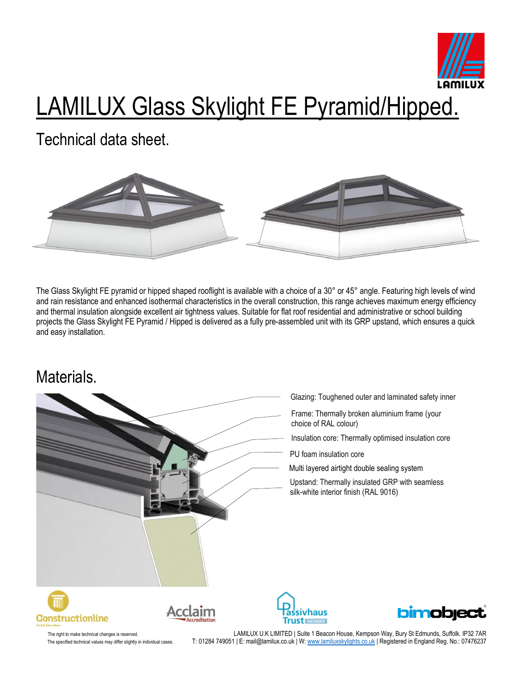

# LAMILUX Glass Skylight FE Pyramid/Hipped.

Technical data sheet.



The Glass Skylight FE pyramid or hipped shaped rooflight is available with a choice of a 30° or 45° angle. Featuring high levels of wind and rain resistance and enhanced isothermal characteristics in the overall construction, this range achieves maximum energy efficiency and thermal insulation alongside excellent air tightness values. Suitable for flat roof residential and administrative or school building projects the Glass Skylight FE Pyramid / Hipped is delivered as a fully pre-assembled unit with its GRP upstand, which ensures a quick and easy installation.

#### Materials.



- Glazing: Toughened outer and laminated safety inner
- Frame: Thermally broken aluminium frame (your choice of RAL colour)
- Insulation core: Thermally optimised insulation core
- PU foam insulation core
- Multi layered airtight double sealing system
- Upstand: Thermally insulated GRP with seamless silk-white interior finish (RAL 9016)









The right to make technical changes is reserved. LAMILUX U.K LIMITED | Suite 1 Beacon House, Kempson Way, Bury St Edmunds, Suffolk. IP32 7AR The specified technical values may differ slightly in individual cases. T: 01284 749051 | E: mail@lamilux.co.uk | W[: www.lamiluxskylights.co.uk](http://www.lamiluxskylights.co.uk/) | Registered in England Reg. No.: 07476237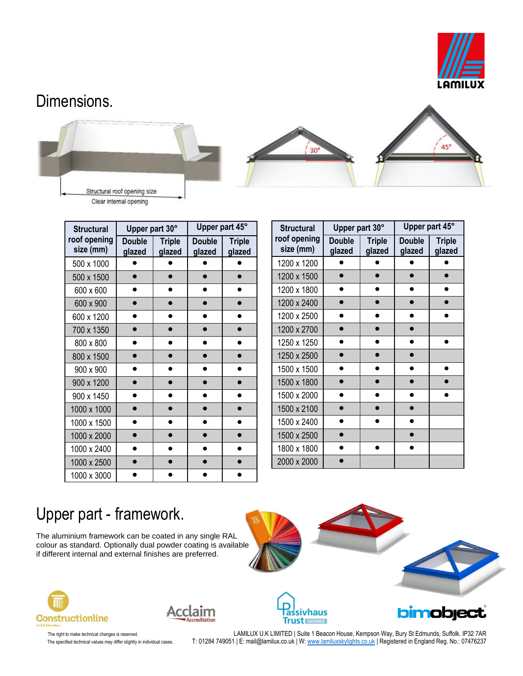

#### Dimensions.





| <b>Structural</b>         | Upper part 30°          |                         | Upper part 45°   |                         |  |
|---------------------------|-------------------------|-------------------------|------------------|-------------------------|--|
| roof opening<br>size (mm) | <b>Double</b><br>glazed | <b>Triple</b><br>glazed | Double<br>glazed | <b>Triple</b><br>glazed |  |
| 500 x 1000                |                         |                         |                  |                         |  |
| 500 x 1500                |                         |                         |                  |                         |  |
| 600 x 600                 |                         |                         |                  |                         |  |
| 600 x 900                 |                         |                         |                  |                         |  |
| 600 x 1200                |                         |                         |                  |                         |  |
| 700 x 1350                |                         |                         |                  |                         |  |
| 800 x 800                 |                         |                         |                  |                         |  |
| 800 x 1500                |                         |                         |                  |                         |  |
| 900 x 900                 |                         |                         |                  |                         |  |
| 900 x 1200                |                         |                         |                  |                         |  |
| 900 x 1450                |                         |                         |                  |                         |  |
| 1000 x 1000               |                         |                         |                  |                         |  |
| 1000 x 1500               |                         |                         |                  |                         |  |
| 1000 x 2000               |                         |                         |                  |                         |  |
| 1000 x 2400               |                         |                         |                  |                         |  |
| 1000 x 2500               |                         |                         |                  |                         |  |
| 1000 x 3000               |                         |                         |                  |                         |  |

| <b>Structural</b>         | Upper part 30°          |                         | Upper part 45°          |                         |  |
|---------------------------|-------------------------|-------------------------|-------------------------|-------------------------|--|
| roof opening<br>size (mm) | <b>Double</b><br>glazed | <b>Triple</b><br>glazed | <b>Double</b><br>glazed | <b>Triple</b><br>glazed |  |
| 1200 x 1200               |                         |                         |                         |                         |  |
| 1200 x 1500               |                         |                         |                         |                         |  |
| 1200 x 1800               |                         |                         |                         |                         |  |
| 1200 x 2400               |                         |                         |                         |                         |  |
| 1200 x 2500               |                         |                         |                         |                         |  |
| 1200 x 2700               |                         |                         |                         |                         |  |
| 1250 x 1250               |                         |                         |                         |                         |  |
| 1250 x 2500               |                         |                         |                         |                         |  |
| 1500 x 1500               |                         |                         |                         |                         |  |
| 1500 x 1800               |                         |                         |                         |                         |  |
| 1500 x 2000               |                         |                         |                         |                         |  |
| 1500 x 2100               |                         |                         |                         |                         |  |
| 1500 x 2400               |                         |                         |                         |                         |  |
| 1500 x 2500               |                         |                         |                         |                         |  |
| 1800 x 1800               |                         |                         |                         |                         |  |
| 2000 x 2000               |                         |                         |                         |                         |  |

# Upper part - framework.

The aluminium framework can be coated in any single RAL colour as standard. Optionally dual powder coating is available if different internal and external finishes are preferred.











The right to make technical changes is reserved. LAMILUX U.K LIMITED | Suite 1 Beacon House, Kempson Way, Bury St Edmunds, Suffolk. IP32 7AR The specified technical values may differ slightly in individual cases. T: 01284 749051 | E: mail@lamilux.co.uk | W: <u>www.lamiluxskylights.co.uk</u> | Registered in England Reg. No.: 07476237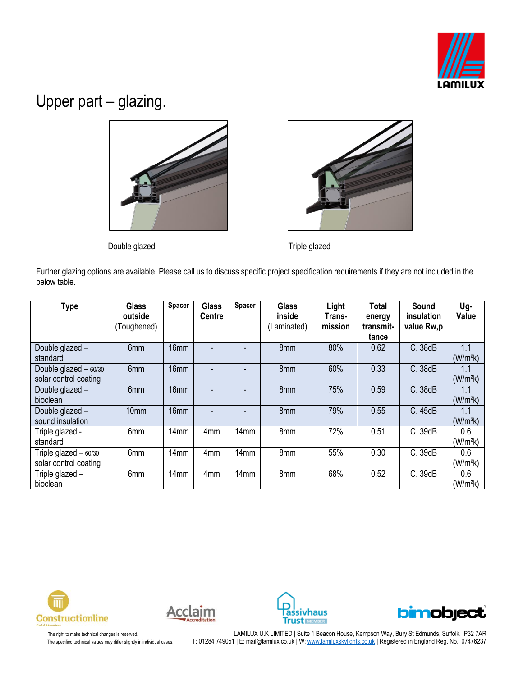

#### Upper part – glazing.





Double glazed **Triple glazed** Triple glazed

Further glazing options are available. Please call us to discuss specific project specification requirements if they are not included in the below table.

| <b>Type</b>            | <b>Glass</b><br>outside | Spacer           | <b>Glass</b><br><b>Centre</b> | Spacer | <b>Glass</b><br>inside | Light<br>Trans- | <b>Total</b><br>energy | Sound<br>insulation | Ug-<br>Value         |
|------------------------|-------------------------|------------------|-------------------------------|--------|------------------------|-----------------|------------------------|---------------------|----------------------|
|                        | (Toughened)             |                  |                               |        | (Laminated)            | mission         | transmit-              | value Rw,p          |                      |
|                        |                         |                  |                               |        |                        |                 | tance                  |                     |                      |
| Double glazed -        | 6mm                     | 16mm             |                               |        | 8mm                    | 80%             | 0.62                   | C. 38dB             | 1.1                  |
| standard               |                         |                  |                               |        |                        |                 |                        |                     | (W/m <sup>2</sup> k) |
| Double glazed $-60/30$ | 6 <sub>mm</sub>         | 16 <sub>mm</sub> |                               |        | 8mm                    | 60%             | 0.33                   | C. 38dB             | 1.1                  |
| solar control coating  |                         |                  |                               |        |                        |                 |                        |                     | (W/m <sup>2</sup> k) |
| Double glazed -        | 6mm                     | 16 <sub>mm</sub> |                               |        | 8mm                    | 75%             | 0.59                   | C. 38dB             | 1.1                  |
| bioclean               |                         |                  |                               |        |                        |                 |                        |                     | (W/m <sup>2</sup> k) |
| Double glazed -        | 10mm                    | 16 <sub>mm</sub> |                               |        | 8mm                    | 79%             | 0.55                   | C. 45dB             | 1.1                  |
| sound insulation       |                         |                  |                               |        |                        |                 |                        |                     | (W/m <sup>2</sup> k) |
| Triple glazed -        | 6mm                     | 14 <sub>mm</sub> | 4 <sub>mm</sub>               | 14mm   | 8mm                    | 72%             | 0.51                   | C. 39dB             | 0.6                  |
| standard               |                         |                  |                               |        |                        |                 |                        |                     | (W/m <sup>2</sup> k) |
| Triple glazed $-60/30$ | 6mm                     | 14mm             | 4 <sub>mm</sub>               | 14mm   | 8mm                    | 55%             | 0.30                   | C. 39dB             | 0.6                  |
| solar control coating  |                         |                  |                               |        |                        |                 |                        |                     | (W/m <sup>2</sup> k) |
| Triple glazed -        | 6mm                     | 14 <sub>mm</sub> | 4 <sub>mm</sub>               | 14mm   | 8mm                    | 68%             | 0.52                   | C. 39dB             | 0.6                  |
| bioclean               |                         |                  |                               |        |                        |                 |                        |                     | (W/m <sup>2</sup> k) |









The right to make technical changes is reserved. LAMILUX U.K LIMITED | Suite 1 Beacon House, Kempson Way, Bury St Edmunds, Suffolk. IP32 7AR The specified technical values may differ slightly in individual cases. T: 01284 749051 | E: mail@lamilux.co.uk | W: <u>www.lamiluxskylights.co.uk</u> | Registered in England Reg. No.: 07476237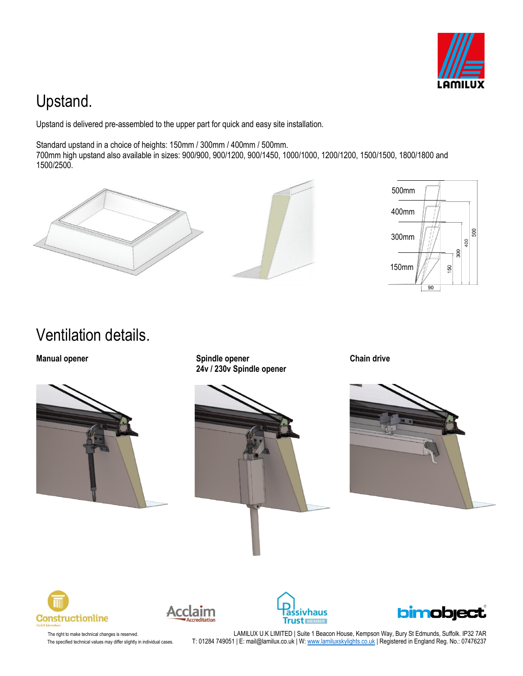

## Upstand.

Upstand is delivered pre-assembled to the upper part for quick and easy site installation.

Standard upstand in a choice of heights: 150mm / 300mm / 400mm / 500mm.

700mm high upstand also available in sizes: 900/900, 900/1200, 900/1450, 1000/1000, 1200/1200, 1500/1500, 1800/1800 and 1500/2500.







Ventilation details.



**Manual opener Chain drive Spindle opener Chain drive Chain drive 24v / 230v Spindle opener**













The right to make technical changes is reserved. LAMILUX U.K LIMITED | Suite 1 Beacon House, Kempson Way, Bury St Edmunds, Suffolk. IP32 7AR The specified technical values may differ slightly in individual cases. T: 01284 749051 | E: mail@lamilux.co.uk | W: <u>www.lamiluxskylights.co.uk</u> | Registered in England Reg. No.: 07476237